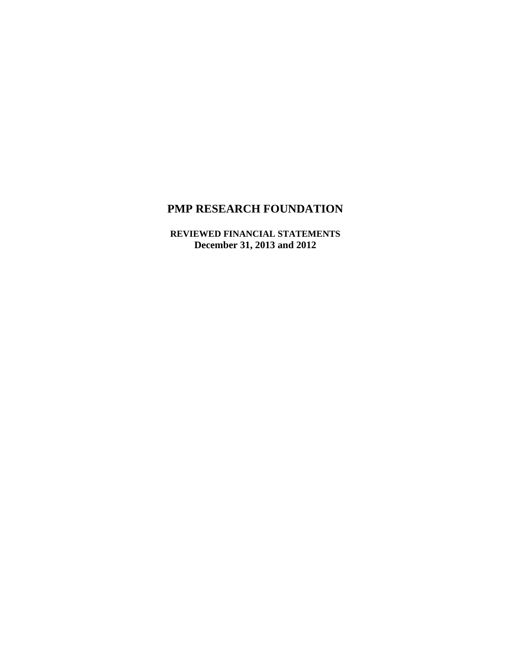**REVIEWED FINANCIAL STATEMENTS December 31, 2013 and 2012**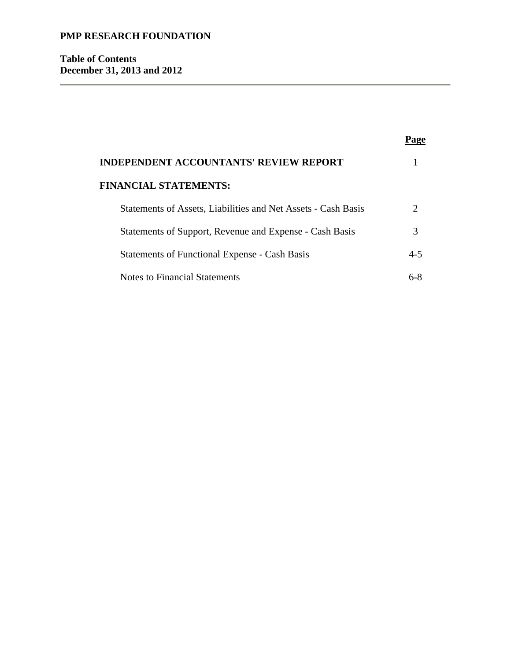**Table of Contents December 31, 2013 and 2012** 

| <b>INDEPENDENT ACCOUNTANTS' REVIEW REPORT</b>                 |               |  |
|---------------------------------------------------------------|---------------|--|
| <b>FINANCIAL STATEMENTS:</b>                                  |               |  |
| Statements of Assets, Liabilities and Net Assets - Cash Basis | $\mathcal{D}$ |  |
| Statements of Support, Revenue and Expense - Cash Basis       | 3             |  |
| <b>Statements of Functional Expense - Cash Basis</b>          | $4 - 5$       |  |
| Notes to Financial Statements                                 |               |  |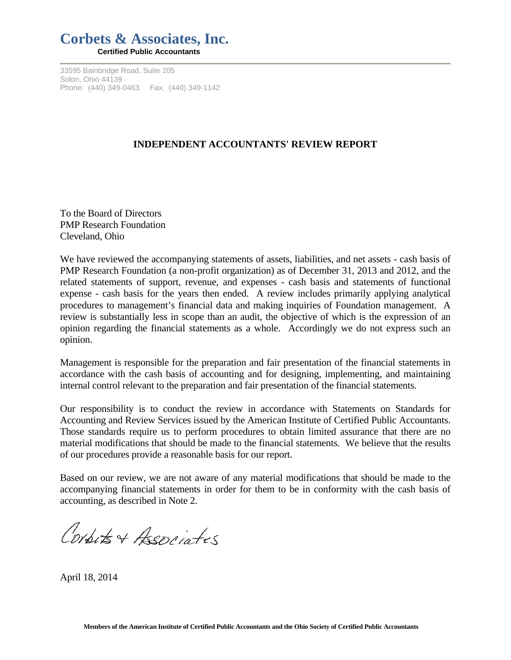## **Corbets & Associates, Inc. Certified Public Accountants**

33595 Bainbridge Road, Suite 205 Solon, Ohio 44139

Phone: (440) 349-0463 Fax: (440) 349-1142

## **INDEPENDENT ACCOUNTANTS' REVIEW REPORT**

To the Board of Directors PMP Research Foundation Cleveland, Ohio

We have reviewed the accompanying statements of assets, liabilities, and net assets - cash basis of PMP Research Foundation (a non-profit organization) as of December 31, 2013 and 2012, and the related statements of support, revenue, and expenses - cash basis and statements of functional expense - cash basis for the years then ended. A review includes primarily applying analytical procedures to management's financial data and making inquiries of Foundation management. A review is substantially less in scope than an audit, the objective of which is the expression of an opinion regarding the financial statements as a whole. Accordingly we do not express such an opinion.

Management is responsible for the preparation and fair presentation of the financial statements in accordance with the cash basis of accounting and for designing, implementing, and maintaining internal control relevant to the preparation and fair presentation of the financial statements.

Our responsibility is to conduct the review in accordance with Statements on Standards for Accounting and Review Services issued by the American Institute of Certified Public Accountants. Those standards require us to perform procedures to obtain limited assurance that there are no material modifications that should be made to the financial statements. We believe that the results of our procedures provide a reasonable basis for our report.

Based on our review, we are not aware of any material modifications that should be made to the accompanying financial statements in order for them to be in conformity with the cash basis of accounting, as described in Note 2.

Conbits + Associates

April 18, 2014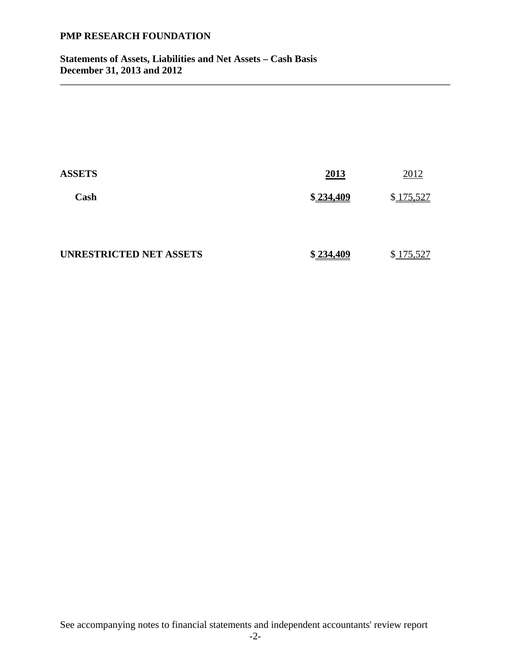**Statements of Assets, Liabilities and Net Assets – Cash Basis December 31, 2013 and 2012** 

| <b>ASSETS</b>           | 2013      | 2012      |
|-------------------------|-----------|-----------|
| Cash                    | \$234,409 | \$175,527 |
| UNRESTRICTED NET ASSETS | \$234,409 | \$175,527 |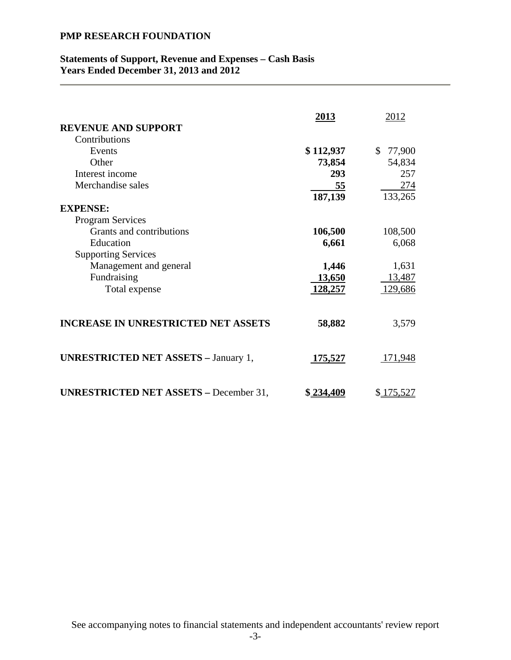## **Statements of Support, Revenue and Expenses – Cash Basis Years Ended December 31, 2013 and 2012**

| <b>REVENUE AND SUPPORT</b>                    | 2013           | 2012           |
|-----------------------------------------------|----------------|----------------|
| Contributions                                 |                |                |
| Events                                        |                | $\mathbb{S}^-$ |
|                                               | \$112,937      | 77,900         |
| Other                                         | 73,854         | 54,834         |
| Interest income                               | 293            | 257            |
| Merchandise sales                             | 55             | 274            |
|                                               | 187,139        | 133,265        |
| <b>EXPENSE:</b>                               |                |                |
| <b>Program Services</b>                       |                |                |
| Grants and contributions                      | 106,500        | 108,500        |
| Education                                     | 6,661          | 6,068          |
| <b>Supporting Services</b>                    |                |                |
| Management and general                        | 1,446          | 1,631          |
| Fundraising                                   | 13,650         | 13,487         |
|                                               |                |                |
| Total expense                                 | 128,257        | 129,686        |
| <b>INCREASE IN UNRESTRICTED NET ASSETS</b>    | 58,882         | 3,579          |
| <b>UNRESTRICTED NET ASSETS - January 1,</b>   | <u>175,527</u> | 171,948        |
| <b>UNRESTRICTED NET ASSETS - December 31,</b> | \$234,409      | \$175,527      |

See accompanying notes to financial statements and independent accountants' review report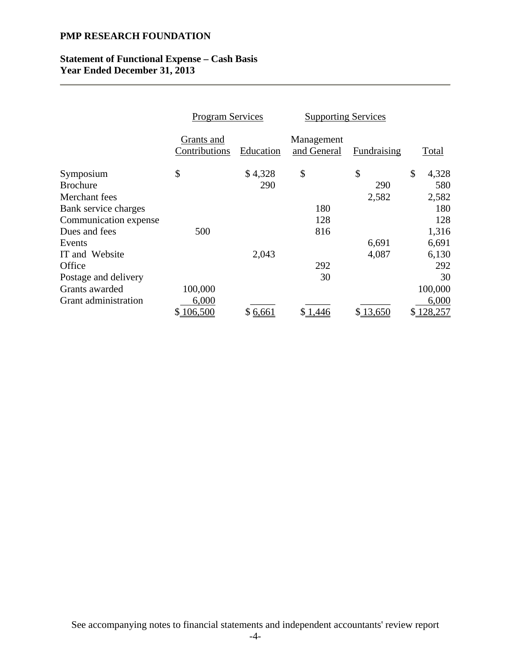### **Statement of Functional Expense – Cash Basis Year Ended December 31, 2013**

|                             | <b>Program Services</b>     |           | <b>Supporting Services</b> |             |             |
|-----------------------------|-----------------------------|-----------|----------------------------|-------------|-------------|
|                             | Grants and<br>Contributions | Education | Management<br>and General  | Fundraising | Total       |
| Symposium                   | \$                          | \$4,328   | \$                         | \$          | \$<br>4,328 |
| <b>Brochure</b>             |                             | 290       |                            | 290         | 580         |
| Merchant fees               |                             |           |                            | 2,582       | 2,582       |
| Bank service charges        |                             |           | 180                        |             | 180         |
| Communication expense       |                             |           | 128                        |             | 128         |
| Dues and fees               | 500                         |           | 816                        |             | 1,316       |
| Events                      |                             |           |                            | 6,691       | 6,691       |
| IT and Website              |                             | 2,043     |                            | 4,087       | 6,130       |
| Office                      |                             |           | 292                        |             | 292         |
| Postage and delivery        |                             |           | 30                         |             | 30          |
| Grants awarded              | 100,000                     |           |                            |             | 100,000     |
| <b>Grant</b> administration | 6,000                       |           |                            |             | 6,000       |
|                             | \$106,500                   | \$6,661   | 1,446                      | \$13,650    | 128,257     |

See accompanying notes to financial statements and independent accountants' review report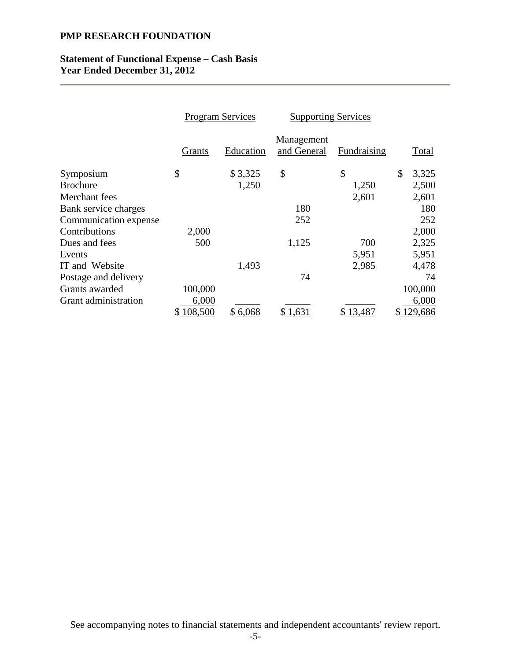### **Statement of Functional Expense – Cash Basis Year Ended December 31, 2012**

|                       | <b>Program Services</b> |           | <b>Supporting Services</b> |             |    |         |
|-----------------------|-------------------------|-----------|----------------------------|-------------|----|---------|
|                       | Grants                  | Education | Management<br>and General  | Fundraising |    | Total   |
| Symposium             | \$                      | \$3,325   | \$                         | \$          | \$ | 3,325   |
| <b>Brochure</b>       |                         | 1,250     |                            | 1,250       |    | 2,500   |
| Merchant fees         |                         |           |                            | 2,601       |    | 2,601   |
| Bank service charges  |                         |           | 180                        |             |    | 180     |
| Communication expense |                         |           | 252                        |             |    | 252     |
| Contributions         | 2,000                   |           |                            |             |    | 2,000   |
| Dues and fees         | 500                     |           | 1,125                      | 700         |    | 2,325   |
| Events                |                         |           |                            | 5,951       |    | 5,951   |
| IT and Website        |                         | 1,493     |                            | 2,985       |    | 4,478   |
| Postage and delivery  |                         |           | 74                         |             |    | 74      |
| Grants awarded        | 100,000                 |           |                            |             |    | 100,000 |
| Grant administration  | 6,000                   |           |                            |             |    | 6,000   |
|                       | 108,500<br>\$           | \$6,068   | \$1,631                    | \$13,487    | S. | 129,686 |

See accompanying notes to financial statements and independent accountants' review report.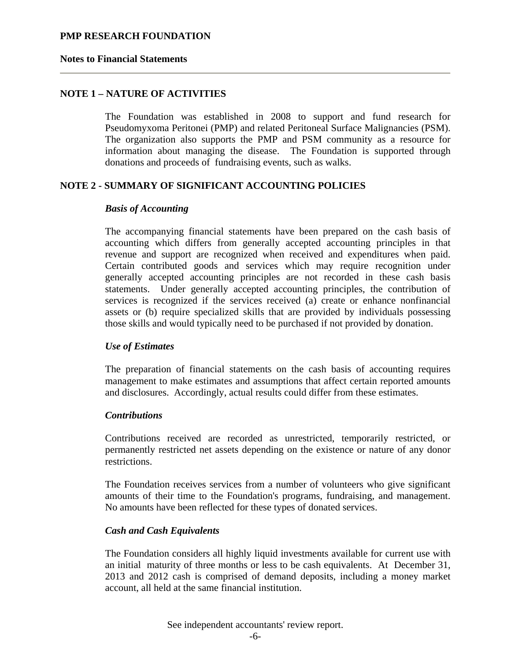#### **Notes to Financial Statements**

## **NOTE 1 – NATURE OF ACTIVITIES**

The Foundation was established in 2008 to support and fund research for Pseudomyxoma Peritonei (PMP) and related Peritoneal Surface Malignancies (PSM). The organization also supports the PMP and PSM community as a resource for information about managing the disease. The Foundation is supported through donations and proceeds of fundraising events, such as walks.

### **NOTE 2 - SUMMARY OF SIGNIFICANT ACCOUNTING POLICIES**

#### *Basis of Accounting*

The accompanying financial statements have been prepared on the cash basis of accounting which differs from generally accepted accounting principles in that revenue and support are recognized when received and expenditures when paid. Certain contributed goods and services which may require recognition under generally accepted accounting principles are not recorded in these cash basis statements. Under generally accepted accounting principles, the contribution of services is recognized if the services received (a) create or enhance nonfinancial assets or (b) require specialized skills that are provided by individuals possessing those skills and would typically need to be purchased if not provided by donation.

#### *Use of Estimates*

The preparation of financial statements on the cash basis of accounting requires management to make estimates and assumptions that affect certain reported amounts and disclosures. Accordingly, actual results could differ from these estimates.

#### *Contributions*

Contributions received are recorded as unrestricted, temporarily restricted, or permanently restricted net assets depending on the existence or nature of any donor restrictions.

The Foundation receives services from a number of volunteers who give significant amounts of their time to the Foundation's programs, fundraising, and management. No amounts have been reflected for these types of donated services.

#### *Cash and Cash Equivalents*

The Foundation considers all highly liquid investments available for current use with an initial maturity of three months or less to be cash equivalents. At December 31, 2013 and 2012 cash is comprised of demand deposits, including a money market account, all held at the same financial institution.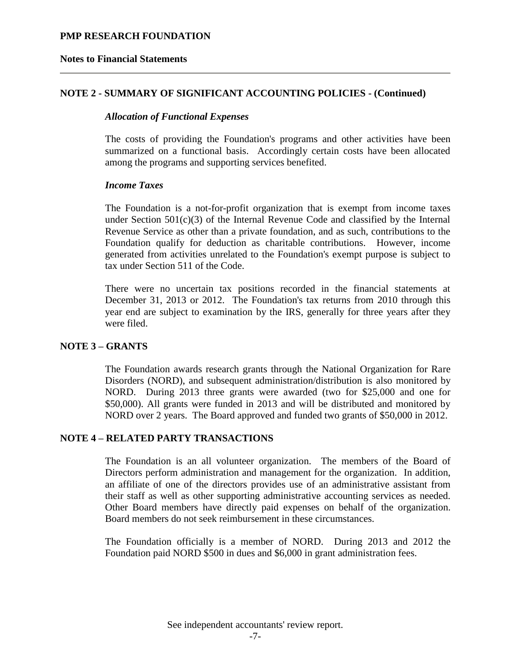#### **Notes to Financial Statements**

### **NOTE 2 - SUMMARY OF SIGNIFICANT ACCOUNTING POLICIES - (Continued)**

#### *Allocation of Functional Expenses*

The costs of providing the Foundation's programs and other activities have been summarized on a functional basis. Accordingly certain costs have been allocated among the programs and supporting services benefited.

#### *Income Taxes*

The Foundation is a not-for-profit organization that is exempt from income taxes under Section  $501(c)(3)$  of the Internal Revenue Code and classified by the Internal Revenue Service as other than a private foundation, and as such, contributions to the Foundation qualify for deduction as charitable contributions. However, income generated from activities unrelated to the Foundation's exempt purpose is subject to tax under Section 511 of the Code.

There were no uncertain tax positions recorded in the financial statements at December 31, 2013 or 2012. The Foundation's tax returns from 2010 through this year end are subject to examination by the IRS, generally for three years after they were filed.

#### **NOTE 3 – GRANTS**

The Foundation awards research grants through the National Organization for Rare Disorders (NORD), and subsequent administration/distribution is also monitored by NORD. During 2013 three grants were awarded (two for \$25,000 and one for \$50,000). All grants were funded in 2013 and will be distributed and monitored by NORD over 2 years. The Board approved and funded two grants of \$50,000 in 2012.

#### **NOTE 4 – RELATED PARTY TRANSACTIONS**

The Foundation is an all volunteer organization. The members of the Board of Directors perform administration and management for the organization. In addition, an affiliate of one of the directors provides use of an administrative assistant from their staff as well as other supporting administrative accounting services as needed. Other Board members have directly paid expenses on behalf of the organization. Board members do not seek reimbursement in these circumstances.

The Foundation officially is a member of NORD. During 2013 and 2012 the Foundation paid NORD \$500 in dues and \$6,000 in grant administration fees.